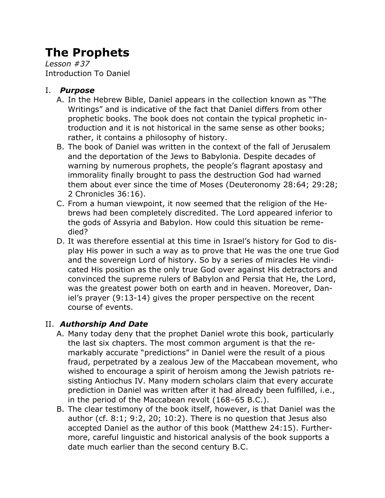# **The Prophets**

*Lesson #37* Introduction To Daniel

# I. *Purpose*

- A. In the Hebrew Bible, Daniel appears in the collection known as "The Writings" and is indicative of the fact that Daniel differs from other prophetic books. The book does not contain the typical prophetic introduction and it is not historical in the same sense as other books; rather, it contains a philosophy of history.
- B. The book of Daniel was written in the context of the fall of Jerusalem and the deportation of the Jews to Babylonia. Despite decades of warning by numerous prophets, the people's flagrant apostasy and immorality finally brought to pass the destruction God had warned them about ever since the time of Moses (Deuteronomy 28:64; 29:28; 2 Chronicles 36:16).
- C. From a human viewpoint, it now seemed that the religion of the Hebrews had been completely discredited. The Lord appeared inferior to the gods of Assyria and Babylon. How could this situation be remedied?
- D. It was therefore essential at this time in Israel's history for God to display His power in such a way as to prove that He was the one true God and the sovereign Lord of history. So by a series of miracles He vindicated His position as the only true God over against His detractors and convinced the supreme rulers of Babylon and Persia that He, the Lord, was the greatest power both on earth and in heaven. Moreover, Daniel's prayer (9:13-14) gives the proper perspective on the recent course of events.

# II. *Authorship And Date*

- A. Many today deny that the prophet Daniel wrote this book, particularly the last six chapters. The most common argument is that the remarkably accurate "predictions" in Daniel were the result of a pious fraud, perpetrated by a zealous Jew of the Maccabean movement, who wished to encourage a spirit of heroism among the Jewish patriots resisting Antiochus IV. Many modern scholars claim that every accurate prediction in Daniel was written after it had already been fulfilled, i.e., in the period of the Maccabean revolt (168–65 B.C.).
- B. The clear testimony of the book itself, however, is that Daniel was the author (cf. 8:1; 9:2, 20; 10:2). There is no question that Jesus also accepted Daniel as the author of this book (Matthew 24:15). Furthermore, careful linguistic and historical analysis of the book supports a date much earlier than the second century B.C.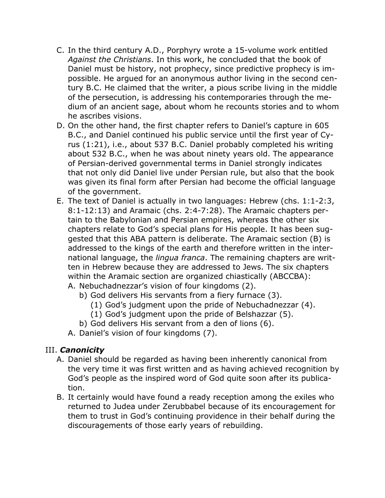- C. In the third century A.D., Porphyry wrote a 15-volume work entitled *Against the Christians*. In this work, he concluded that the book of Daniel must be history, not prophecy, since predictive prophecy is impossible. He argued for an anonymous author living in the second century B.C. He claimed that the writer, a pious scribe living in the middle of the persecution, is addressing his contemporaries through the medium of an ancient sage, about whom he recounts stories and to whom he ascribes visions.
- D. On the other hand, the first chapter refers to Daniel's capture in 605 B.C., and Daniel continued his public service until the first year of Cyrus (1:21), i.e., about 537 B.C. Daniel probably completed his writing about 532 B.C., when he was about ninety years old. The appearance of Persian-derived governmental terms in Daniel strongly indicates that not only did Daniel live under Persian rule, but also that the book was given its final form after Persian had become the official language of the government.
- E. The text of Daniel is actually in two languages: Hebrew (chs. 1:1-2:3, 8:1-12:13) and Aramaic (chs. 2:4-7:28). The Aramaic chapters pertain to the Babylonian and Persian empires, whereas the other six chapters relate to God's special plans for His people. It has been suggested that this ABA pattern is deliberate. The Aramaic section (B) is addressed to the kings of the earth and therefore written in the international language, the *lingua franca*. The remaining chapters are written in Hebrew because they are addressed to Jews. The six chapters within the Aramaic section are organized chiastically (ABCCBA): A. Nebuchadnezzar's vision of four kingdoms (2).
	- b) God delivers His servants from a fiery furnace (3).
		- (1) God's judgment upon the pride of Nebuchadnezzar (4).
		- (1) God's judgment upon the pride of Belshazzar (5).
	- b) God delivers His servant from a den of lions (6).
	- A. Daniel's vision of four kingdoms (7).

### III. *Canonicity*

- A. Daniel should be regarded as having been inherently canonical from the very time it was first written and as having achieved recognition by God's people as the inspired word of God quite soon after its publication.
- B. It certainly would have found a ready reception among the exiles who returned to Judea under Zerubbabel because of its encouragement for them to trust in God's continuing providence in their behalf during the discouragements of those early years of rebuilding.